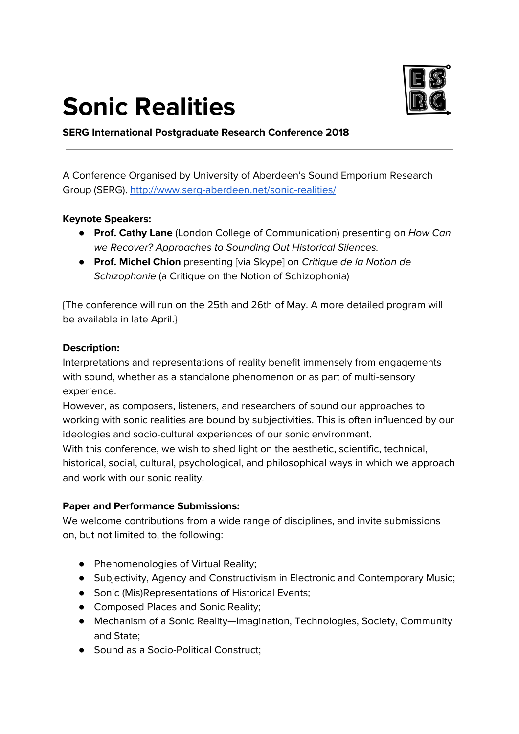## **Sonic Realities**



**SERG International Postgraduate Research Conference 2018**

A Conference Organised by University of Aberdeen's Sound Emporium Research Group (SERG). <http://www.serg-aberdeen.net/sonic-realities/>

## **Keynote Speakers:**

- **Prof. Cathy Lane** (London College of Communication) presenting on How Can we Recover? Approaches to Sounding Out Historical Silences.
- **Prof. Michel Chion** presenting [via Skype] on Critique de la Notion de Schizophonie (a Critique on the Notion of Schizophonia)

{The conference will run on the 25th and 26th of May. A more detailed program will be available in late April.}

## **Description:**

Interpretations and representations of reality benefit immensely from engagements with sound, whether as a standalone phenomenon or as part of multi-sensory experience.

However, as composers, listeners, and researchers of sound our approaches to working with sonic realities are bound by subjectivities. This is often influenced by our ideologies and socio-cultural experiences of our sonic environment.

With this conference, we wish to shed light on the aesthetic, scientific, technical, historical, social, cultural, psychological, and philosophical ways in which we approach and work with our sonic reality.

## **Paper and Performance Submissions:**

We welcome contributions from a wide range of disciplines, and invite submissions on, but not limited to, the following:

- Phenomenologies of Virtual Reality;
- Subjectivity, Agency and Constructivism in Electronic and Contemporary Music;
- Sonic (Mis)Representations of Historical Events;
- Composed Places and Sonic Reality;
- Mechanism of a Sonic Reality—Imagination, Technologies, Society, Community and State;
- Sound as a Socio-Political Construct;